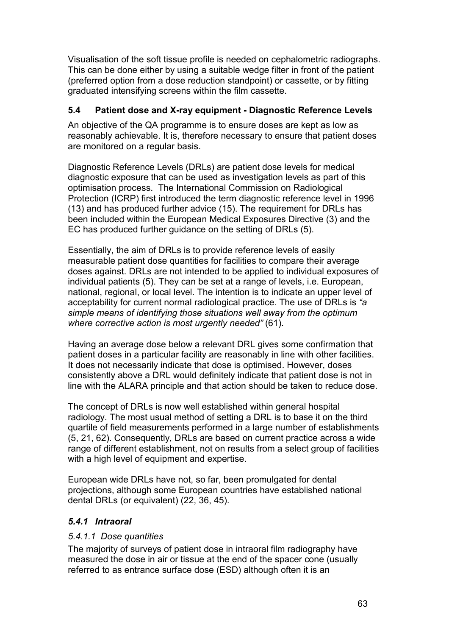Visualisation of the soft tissue profile is needed on cephalometric radiographs. This can be done either by using a suitable wedge filter in front of the patient (preferred option from a dose reduction standpoint) or cassette, or by fitting graduated intensifying screens within the film cassette.

### **5.4 Patient dose and X-ray equipment - Diagnostic Reference Levels**

An objective of the QA programme is to ensure doses are kept as low as reasonably achievable. It is, therefore necessary to ensure that patient doses are monitored on a regular basis.

Diagnostic Reference Levels (DRLs) are patient dose levels for medical diagnostic exposure that can be used as investigation levels as part of this optimisation process. The International Commission on Radiological Protection (ICRP) first introduced the term diagnostic reference level in 1996 (13) and has produced further advice (15). The requirement for DRLs has been included within the European Medical Exposures Directive (3) and the EC has produced further guidance on the setting of DRLs (5).

Essentially, the aim of DRLs is to provide reference levels of easily measurable patient dose quantities for facilities to compare their average doses against. DRLs are not intended to be applied to individual exposures of individual patients (5). They can be set at a range of levels, i.e. European, national, regional, or local level. The intention is to indicate an upper level of acceptability for current normal radiological practice. The use of DRLs is *"a simple means of identifying those situations well away from the optimum where corrective action is most urgently needed"* (61).

Having an average dose below a relevant DRL gives some confirmation that patient doses in a particular facility are reasonably in line with other facilities. It does not necessarily indicate that dose is optimised. However, doses consistently above a DRL would definitely indicate that patient dose is not in line with the ALARA principle and that action should be taken to reduce dose.

The concept of DRLs is now well established within general hospital radiology. The most usual method of setting a DRL is to base it on the third quartile of field measurements performed in a large number of establishments (5, 21, 62). Consequently, DRLs are based on current practice across a wide range of different establishment, not on results from a select group of facilities with a high level of equipment and expertise.

European wide DRLs have not, so far, been promulgated for dental projections, although some European countries have established national dental DRLs (or equivalent) (22, 36, 45).

### *5.4.1 Intraoral*

### *5.4.1.1 Dose quantities*

The majority of surveys of patient dose in intraoral film radiography have measured the dose in air or tissue at the end of the spacer cone (usually referred to as entrance surface dose (ESD) although often it is an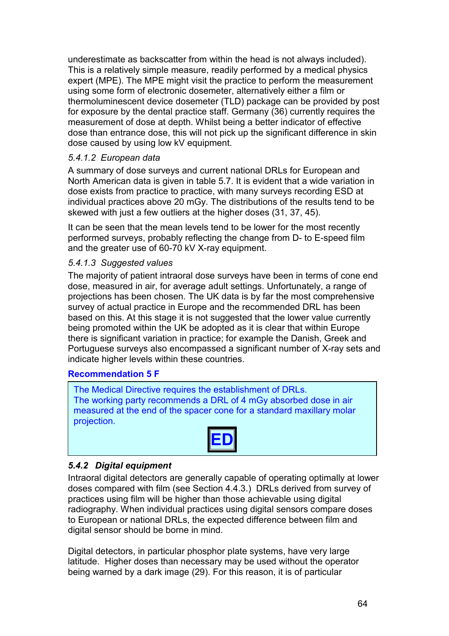underestimate as backscatter from within the head is not always included). This is a relatively simple measure, readily performed by a medical physics expert (MPE). The MPE might visit the practice to perform the measurement using some form of electronic dosemeter, alternatively either a film or thermoluminescent device dosemeter (TLD) package can be provided by post for exposure by the dental practice staff. Germany (36) currently requires the measurement of dose at depth. Whilst being a better indicator of effective dose than entrance dose, this will not pick up the significant difference in skin dose caused by using low kV equipment.

#### *5.4.1.2 European data*

A summary of dose surveys and current national DRLs for European and North American data is given in table 5.7. It is evident that a wide variation in dose exists from practice to practice, with many surveys recording ESD at individual practices above 20 mGy. The distributions of the results tend to be skewed with just a few outliers at the higher doses (31, 37, 45).

It can be seen that the mean levels tend to be lower for the most recently performed surveys, probably reflecting the change from D- to E-speed film and the greater use of 60-70 kV X-ray equipment.

#### *5.4.1.3 Suggested values*

The majority of patient intraoral dose surveys have been in terms of cone end dose, measured in air, for average adult settings. Unfortunately, a range of projections has been chosen. The UK data is by far the most comprehensive survey of actual practice in Europe and the recommended DRL has been based on this. At this stage it is not suggested that the lower value currently being promoted within the UK be adopted as it is clear that within Europe there is significant variation in practice; for example the Danish, Greek and Portuguese surveys also encompassed a significant number of X-ray sets and indicate higher levels within these countries.

#### **Recommendation 5 F**

The Medical Directive requires the establishment of DRLs. The working party recommends a DRL of 4 mGy absorbed dose in air measured at the end of the spacer cone for a standard maxillary molar projection.



### *5.4.2 Digital equipment*

Intraoral digital detectors are generally capable of operating optimally at lower doses compared with film (see Section 4.4.3.) DRLs derived from survey of practices using film will be higher than those achievable using digital radiography. When individual practices using digital sensors compare doses to European or national DRLs, the expected difference between film and digital sensor should be borne in mind.

Digital detectors, in particular phosphor plate systems, have very large latitude. Higher doses than necessary may be used without the operator being warned by a dark image (29). For this reason, it is of particular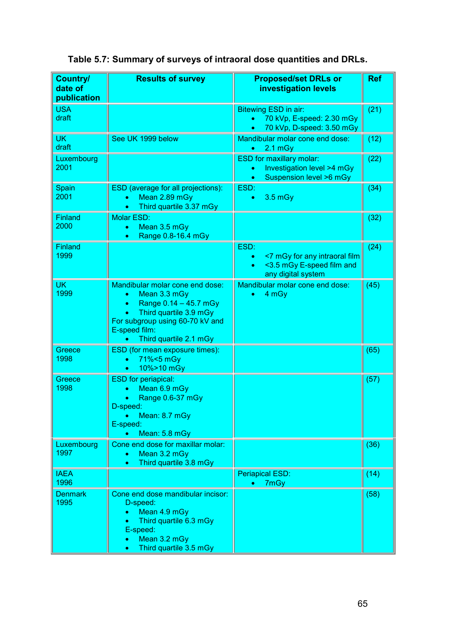|  |  |  | Table 5.7: Summary of surveys of intraoral dose quantities and DRLs. |
|--|--|--|----------------------------------------------------------------------|
|--|--|--|----------------------------------------------------------------------|

| <b>Country/</b><br>date of<br>publication | <b>Results of survey</b>                                                                                                                                                                                   | <b>Proposed/set DRLs or</b><br><b>investigation levels</b>                                                         | <b>Ref</b> |
|-------------------------------------------|------------------------------------------------------------------------------------------------------------------------------------------------------------------------------------------------------------|--------------------------------------------------------------------------------------------------------------------|------------|
| <b>USA</b><br>draft                       |                                                                                                                                                                                                            | Bitewing ESD in air:<br>70 kVp, E-speed: 2.30 mGy<br>$\bullet$<br>70 kVp, D-speed: 3.50 mGy<br>$\bullet$           | (21)       |
| <b>UK</b><br>draft                        | See UK 1999 below                                                                                                                                                                                          | Mandibular molar cone end dose:<br>$2.1$ mGy                                                                       | (12)       |
| Luxembourg<br>2001                        |                                                                                                                                                                                                            | <b>ESD for maxillary molar:</b><br>Investigation level >4 mGy<br>$\bullet$<br>Suspension level >6 mGy<br>$\bullet$ | (22)       |
| Spain<br>2001                             | ESD (average for all projections):<br>Mean 2.89 mGy<br>$\bullet$<br>Third quartile 3.37 mGy<br>$\bullet$                                                                                                   | ESD:<br>3.5 mGy<br>$\bullet$                                                                                       | (34)       |
| Finland<br>2000                           | <b>Molar ESD:</b><br>Mean 3.5 mGy<br>$\bullet$<br>Range 0.8-16.4 mGy<br>$\bullet$                                                                                                                          |                                                                                                                    | (32)       |
| <b>Finland</b><br>1999                    |                                                                                                                                                                                                            | ESD:<br><7 mGy for any intraoral film<br>$\bullet$<br><3.5 mGy E-speed film and<br>any digital system              | (24)       |
| <b>UK</b><br>1999                         | Mandibular molar cone end dose:<br>Mean 3.3 mGy<br>$\bullet$<br>Range 0.14 - 45.7 mGy<br>$\bullet$<br>Third quartile 3.9 mGy<br>For subgroup using 60-70 kV and<br>E-speed film:<br>Third quartile 2.1 mGy | Mandibular molar cone end dose:<br>4 mGy                                                                           | (45)       |
| Greece<br>1998                            | ESD (for mean exposure times):<br>71%<5 mGy<br>$\bullet$<br>10%>10 mGy<br>$\bullet$                                                                                                                        |                                                                                                                    | (65)       |
| Greece<br>1998                            | <b>ESD</b> for periapical:<br>Mean 6.9 mGy<br>Range 0.6-37 mGy<br>D-speed:<br>Mean: 8.7 mGy<br>$\bullet$<br>E-speed:<br>Mean: 5.8 mGy                                                                      |                                                                                                                    | (57)       |
| Luxembourg<br>1997                        | Cone end dose for maxillar molar:<br>Mean 3.2 mGy<br>$\bullet$<br>Third quartile 3.8 mGy<br>$\bullet$                                                                                                      |                                                                                                                    | (36)       |
| <b>IAEA</b><br>1996                       |                                                                                                                                                                                                            | <b>Periapical ESD:</b><br>7mGy                                                                                     | (14)       |
| <b>Denmark</b><br>1995                    | Cone end dose mandibular incisor:<br>D-speed:<br>Mean 4.9 mGy<br>۰<br>Third quartile 6.3 mGy<br>E-speed:<br>Mean 3.2 mGy<br>۰<br>Third quartile 3.5 mGy<br>$\bullet$                                       |                                                                                                                    | (58)       |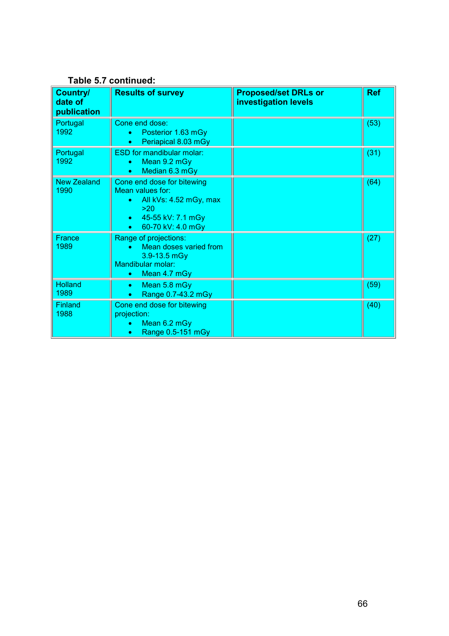| Country/<br>date of<br>publication | <b>Results of survey</b>                                                                                                                            | <b>Proposed/set DRLs or</b><br>investigation levels | <b>Ref</b> |
|------------------------------------|-----------------------------------------------------------------------------------------------------------------------------------------------------|-----------------------------------------------------|------------|
| Portugal<br>1992                   | Cone end dose:<br>Posterior 1.63 mGy<br>Periapical 8.03 mGy                                                                                         |                                                     | (53)       |
| Portugal<br>1992                   | <b>ESD for mandibular molar:</b><br>Mean 9.2 mGy<br>Median 6.3 mGy<br>$\bullet$                                                                     |                                                     | (31)       |
| <b>New Zealand</b><br>1990         | Cone end dose for bitewing<br>Mean values for:<br>All kVs: 4.52 mGy, max<br>>20<br>45-55 kV: 7.1 mGy<br>$\bullet$<br>60-70 kV: 4.0 mGy<br>$\bullet$ |                                                     | (64)       |
| France<br>1989                     | Range of projections:<br>Mean doses varied from<br>$3.9 - 13.5$ mGy<br>Mandibular molar:<br>Mean 4.7 mGy<br>$\bullet$                               |                                                     | (27)       |
| <b>Holland</b><br>1989             | Mean 5.8 mGy<br>$\bullet$<br>Range 0.7-43.2 mGy                                                                                                     |                                                     | (59)       |
| <b>Finland</b><br>1988             | Cone end dose for bitewing<br>projection:<br>Mean 6.2 mGy<br>$\bullet$<br>Range 0.5-151 mGy<br>۰                                                    |                                                     | (40)       |

# **Table 5.7 continued:**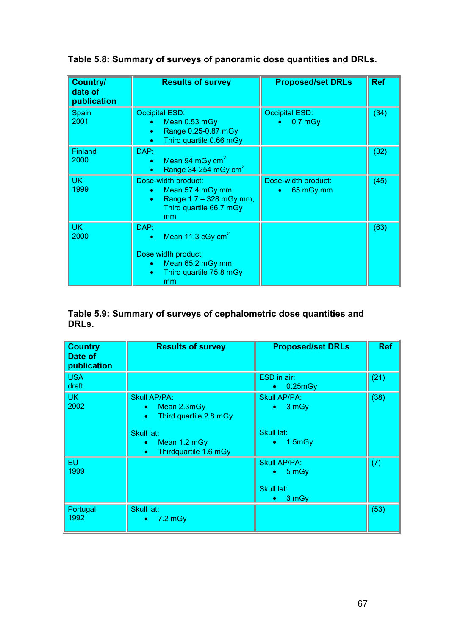**Table 5.8: Summary of surveys of panoramic dose quantities and DRLs.**

| <b>Country/</b><br>date of<br>publication | <b>Results of survey</b>                                                                                              | <b>Proposed/set DRLs</b>                      | <b>Ref</b> |
|-------------------------------------------|-----------------------------------------------------------------------------------------------------------------------|-----------------------------------------------|------------|
| Spain<br>2001                             | <b>Occipital ESD:</b><br>Mean 0.53 mGy<br>Range 0.25-0.87 mGy<br>$\bullet$<br>Third quartile 0.66 mGy<br>$\bullet$    | <b>Occipital ESD:</b><br>$0.7$ mGy            | (34)       |
| <b>Finland</b><br>2000                    | DAP:<br>Mean 94 mGy $cm2$<br>۰<br>Range 34-254 mGy $cm2$<br>$\bullet$                                                 |                                               | (32)       |
| <b>UK</b><br>1999                         | Dose-width product:<br>Mean 57.4 mGy mm<br>۰<br>Range 1.7 - 328 mGy mm,<br>$\bullet$<br>Third quartile 66.7 mGy<br>mm | Dose-width product:<br>65 mGy mm<br>$\bullet$ | (45)       |
| <b>UK</b><br>2000                         | DAP:<br>Mean 11.3 cGy $cm2$<br>Dose width product:<br>Mean 65.2 mGy mm<br>Third quartile 75.8 mGy<br>$\bullet$<br>mm  |                                               | (63)       |

#### **Table 5.9: Summary of surveys of cephalometric dose quantities and DRLs.**

| <b>Country</b><br>Date of<br>publication | <b>Results of survey</b>                                                               | <b>Proposed/set DRLs</b>                                                | <b>Ref</b> |
|------------------------------------------|----------------------------------------------------------------------------------------|-------------------------------------------------------------------------|------------|
| <b>USA</b><br>draft                      |                                                                                        | ESD in air:<br>0.25 mGy<br>$\bullet$                                    | (21)       |
| UK.<br>2002                              | <b>Skull AP/PA:</b><br>Mean 2.3mGy<br>$\bullet$<br>Third quartile 2.8 mGy<br>$\bullet$ | Skull AP/PA:<br>$\bullet$ 3 mGy                                         | (38)       |
|                                          | Skull lat:<br>Mean 1.2 mGy<br>۰<br>Thirdquartile 1.6 mGy<br>$\bullet$                  | Skull lat:<br>1.5mgy<br>$\bullet$                                       |            |
| <b>EU</b><br>1999                        |                                                                                        | <b>Skull AP/PA:</b><br>$\bullet$ 5 mGy<br>Skull lat:<br>$\bullet$ 3 mGy | (7)        |
| Portugal<br>1992                         | Skull lat:<br>$-7.2$ mGy<br>$\bullet$                                                  |                                                                         | (53)       |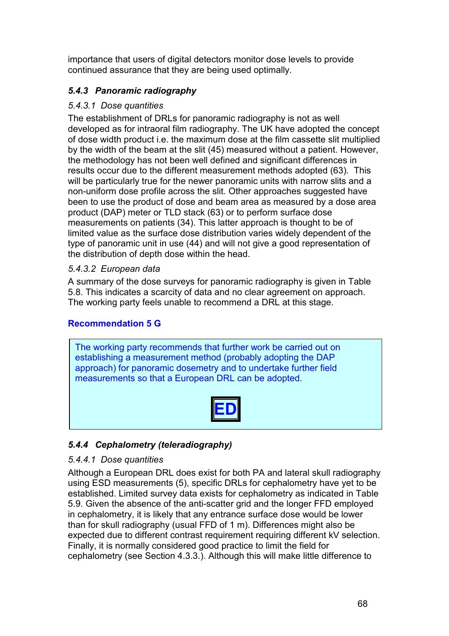importance that users of digital detectors monitor dose levels to provide continued assurance that they are being used optimally.

# *5.4.3 Panoramic radiography*

### *5.4.3.1 Dose quantities*

The establishment of DRLs for panoramic radiography is not as well developed as for intraoral film radiography. The UK have adopted the concept of dose width product i.e. the maximum dose at the film cassette slit multiplied by the width of the beam at the slit (45) measured without a patient. However, the methodology has not been well defined and significant differences in results occur due to the different measurement methods adopted (63). This will be particularly true for the newer panoramic units with narrow slits and a non-uniform dose profile across the slit. Other approaches suggested have been to use the product of dose and beam area as measured by a dose area product (DAP) meter or TLD stack (63) or to perform surface dose measurements on patients (34). This latter approach is thought to be of limited value as the surface dose distribution varies widely dependent of the type of panoramic unit in use (44) and will not give a good representation of the distribution of depth dose within the head.

### *5.4.3.2 European data*

A summary of the dose surveys for panoramic radiography is given in Table 5.8. This indicates a scarcity of data and no clear agreement on approach. The working party feels unable to recommend a DRL at this stage.

# **Recommendation 5 G**

The working party recommends that further work be carried out on establishing a measurement method (probably adopting the DAP approach) for panoramic dosemetry and to undertake further field measurements so that a European DRL can be adopted.

|--|

# *5.4.4 Cephalometry (teleradiography)*

### *5.4.4.1 Dose quantities*

Although a European DRL does exist for both PA and lateral skull radiography using ESD measurements (5), specific DRLs for cephalometry have yet to be established. Limited survey data exists for cephalometry as indicated in Table 5.9. Given the absence of the anti-scatter grid and the longer FFD employed in cephalometry, it is likely that any entrance surface dose would be lower than for skull radiography (usual FFD of 1 m). Differences might also be expected due to different contrast requirement requiring different kV selection. Finally, it is normally considered good practice to limit the field for cephalometry (see Section 4.3.3.). Although this will make little difference to